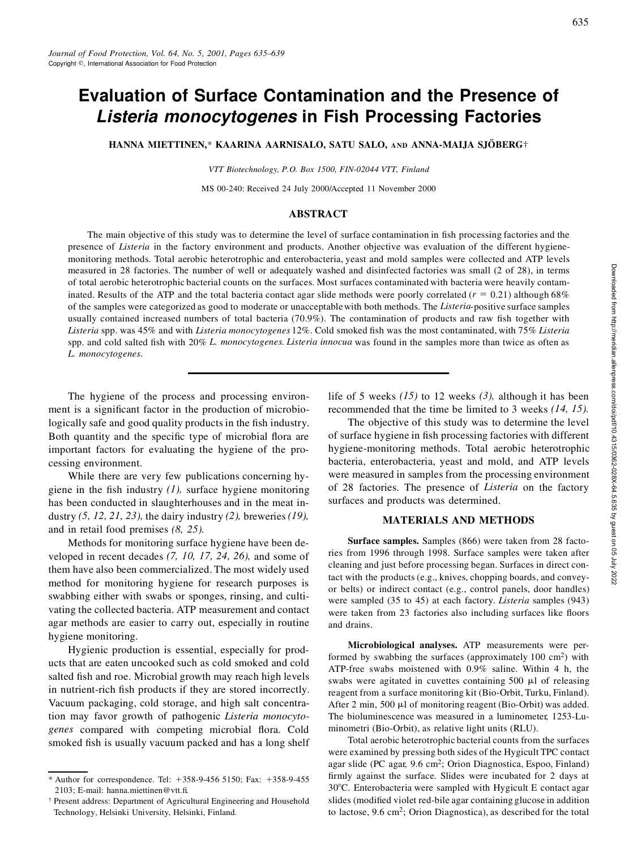# **Evaluation of Surface Contamination and the Presence of** *Listeria monocytogenes* **in Fish Processing Factories**

**HANNA MIETTINEN,\* KAARINA AARNISALO, SATU SALO, AND <b>ANNA-MAIJA** SJÖBERG†

*VTT Biotechnology, P.O. Box 1500, FIN-02044 VTT, Finland*

MS 00-240: Received 24 July 2000/Accepted 11 November 2000

### **ABSTRACT**

The main objective of this study was to determine the level of surface contamination in fish processing factories and the presence of *Listeria* in the factory environment and products. Another objective was evaluation of the different hygienemonitoring methods. Total aerobic heterotrophic and enterobacteria, yeast and mold samples were collected and ATP levels measured in 28 factories. The number of well or adequately washed and disinfected factories was small (2 of 28), in terms of total aerobic heterotrophic bacterial counts on the surfaces. Most surfaces contaminated with bacteria were heavily contaminated. Results of the ATP and the total bacteria contact agar slide methods were poorly correlated ( $r = 0.21$ ) although 68% of the samples were categorized as good to moderate or unacceptablewith both methods. The *Listeria*-positive surface samples usually contained increased numbers of total bacteria (70.9%). The contamination of products and raw fish together with Listeria spp. was 45% and with Listeria monocytogenes 12%. Cold smoked fish was the most contaminated, with 75% Listeria spp. and cold salted fish with 20% *L. monocytogenes. Listeria innocua* was found in the samples more than twice as often as *L. monocytogenes.*

The hygiene of the process and processing environment is a significant factor in the production of microbiologically safe and good quality products in the fish industry. Both quantity and the specific type of microbial flora are important factors for evaluating the hygiene of the processing environment.

While there are very few publications concerning hygiene in the fish industry  $(1)$ , surface hygiene monitoring has been conducted in slaughterhouses and in the meat industry *(5, 12, 21, 23),* the dairy industry *(2),* breweries*(19),* and in retail food premises *(8, 25).*

Methods for monitoring surface hygiene have been developed in recent decades *(7, 10, 17, 24, 26),* and some of them have also been commercialized. The most widely used method for monitoring hygiene for research purposes is swabbing either with swabs or sponges, rinsing, and cultivating the collected bacteria. ATP measurement and contact agar methods are easier to carry out, especially in routine hygiene monitoring.

Hygienic production is essential, especially for products that are eaten uncooked such as cold smoked and cold salted fish and roe. Microbial growth may reach high levels in nutrient-rich fish products if they are stored incorrectly. Vacuum packaging, cold storage, and high salt concentration may favor growth of pathogenic *Listeria monocyto*genes compared with competing microbial flora. Cold smoked fish is usually vacuum packed and has a long shelf

life of 5 weeks *(15)* to 12 weeks *(3),* although it has been recommended that the time be limited to 3 weeks *(14, 15).*

The objective of this study was to determine the level of surface hygiene in fish processing factories with different hygiene-monitoring methods. Total aerobic heterotrophic bacteria, enterobacteria, yeast and mold, and ATP levels were measured in samples from the processing environment of 28 factories. The presence of *Listeria* on the factory surfaces and products was determined.

#### **MATERIALS AND METHODS**

**Surface samples.** Samples (866) were taken from 28 factories from 1996 through 1998. Surface samples were taken after cleaning and just before processing began. Surfaces in direct contact with the products (e.g., knives, chopping boards, and convey or belts) or indirect contact (e.g., control panels, door handles) were sampled (35 to 45) at each factory. *Listeria* samples (943) were taken from 23 factories also including surfaces like floors and drains.

**Microbiological analyses.** ATP measurements were performed by swabbing the surfaces (approximately 100 cm<sup>2</sup>) with ATP-free swabs moistened with 0.9% saline. Within 4 h, the swabs were agitated in cuvettes containing  $500 \mu l$  of releasing reagent from a surface monitoring kit (Bio-Orbit, Turku, Finland). After 2 min, 500  $\mu$ l of monitoring reagent (Bio-Orbit) was added. The bioluminescence was measured in a luminometer, 1253-Luminometri (Bio-Orbit), as relative light units (RLU).

Total aerobic heterotrophic bacterial counts from the surfaces were examined by pressing both sides of the Hygicult TPC contact agar slide (PC agar, 9.6 cm<sup>2</sup> ; Orion Diagnostica, Espoo, Finland) firmly against the surface. Slides were incubated for 2 days at 30°C. Enterobacteria were sampled with Hygicult E contact agar slides (modified violet red-bile agar containing glucose in addition to lactose, 9.6 cm<sup>2</sup>; Orion Diagnostica), as described for the total

<sup>\*</sup> Author for correspondence. Tel:  $+358-9-456$  5150; Fax:  $+358-9-455$ 2103; E-mail: hanna.miettinen@vtt.fi.

<sup>†</sup> Present address: Department of Agricultural Engineering and Household Technology, Helsinki University, Helsinki, Finland.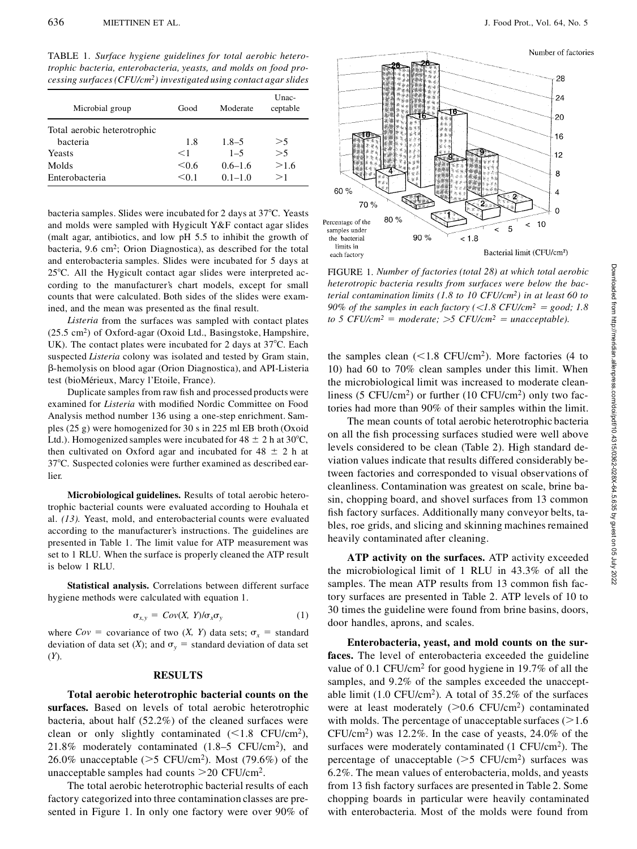TABLE 1. *Surface hygiene guidelines for total aerobic heterotrophic bacteria, enterobacteria, yeasts, and molds on food processing surfaces(CFU/cm<sup>2</sup> ) investigated using contact agar slides*

| Microbial group             | Good  | Moderate    | Unac-<br>ceptable |
|-----------------------------|-------|-------------|-------------------|
| Total aerobic heterotrophic |       |             |                   |
| bacteria                    | 1.8   | $1.8 - 5$   | >5                |
| Yeasts                      | $<$ 1 | $1 - 5$     | >5                |
| Molds                       | < 0.6 | $0.6 - 1.6$ | >1.6              |
| Enterobacteria              | < 0.1 | $0.1 - 1.0$ | >1                |

bacteria samples. Slides were incubated for 2 days at 37°C. Yeasts and molds were sampled with Hygicult Y&F contact agar slides (malt agar, antibiotics, and low pH 5.5 to inhibit the growth of bacteria, 9.6 cm<sup>2</sup> ; Orion Diagnostica), as described for the total and enterobacteria samples. Slides were incubated for 5 days at  $25^{\circ}$ C. All the Hygicult contact agar slides were interpreted according to the manufacturer's chart models, except for small counts that were calculated. Both sides of the slides were examined, and the mean was presented as the final result.

*Listeria* from the surfaces was sampled with contact plates (25.5 cm<sup>2</sup> ) of Oxford-agar (Oxoid Ltd., Basingstoke, Hampshire, UK). The contact plates were incubated for 2 days at  $37^{\circ}$ C. Each suspected *Listeria* colony was isolated and tested by Gram stain, b-hemolysis on blood agar (Orion Diagnostica), and API-Listeria test (bioMérieux, Marcy l'Etoile, France).

Duplicate samples from raw fish and processed products were examined for *Listeria* with modified Nordic Committee on Food Analysis method number 136 using a one-step enrichment. Samples (25 g) were homogenized for 30 s in 225 ml EB broth (Oxoid Ltd.). Homogenized samples were incubated for  $48 \pm 2$  h at 30°C, then cultivated on Oxford agar and incubated for  $48 \pm 2$  h at 378C. Suspected colonies were further examined as described earlier.

**Microbiological guidelines.** Results of total aerobic heterotrophic bacterial counts were evaluated according to Houhala et al. *(13).* Yeast, mold, and enterobacterial counts were evaluated according to the manufacturer's instructions. The guidelines are presented in Table 1. The limit value for ATP measurement was set to 1 RLU. When the surface is properly cleaned the ATP result is below 1 RLU.

**Statistical analysis.** Correlations between different surface hygiene methods were calculated with equation 1.

$$
\sigma_{x,y} = Cov(X, Y)/\sigma_x \sigma_y \tag{1}
$$

where  $Cov = covariance$  of two  $(X, Y)$  data sets;  $\sigma_x = standard$ deviation of data set  $(X)$ ; and  $\sigma_y$  = standard deviation of data set (*Y*).

#### **RESULTS**

**Total aerobic heterotrophic bacterial counts on the surfaces.** Based on levels of total aerobic heterotrophic bacteria, about half (52.2%) of the cleaned surfaces were clean or only slightly contaminated  $(< 1.8$  CFU/cm<sup>2</sup>), 21.8% moderately contaminated  $(1.8-5 \text{ CFU/cm}^2)$ , and 26.0% unacceptable ( $>5$  CFU/cm<sup>2</sup>). Most (79.6%) of the unacceptable samples had counts  $>$  20 CFU/cm<sup>2</sup>.

The total aerobic heterotrophic bacterial results of each factory categorized into three contamination classes are presented in Figure 1. In only one factory were over 90% of



Bacterial limit (CFU/cm<sup>2</sup>)

FIGURE 1.*Number of factories (total 28) at which total aerobic heterotropic bacteria results from surfaces were below the bacterial contamination limits (1.8 to 10 CFU/cm<sup>2</sup> ) in at least 60 to 90% of the samples in each factory*  $(*1.8* CFU/cm<sup>2</sup> = good; 1.8$ *to 5 CFU/cm<sup>2</sup> = moderate;*  $>$  *5 CFU/cm<sup>2</sup> = unacceptable).* 

each factory

the samples clean  $(< 1.8$  CFU/cm<sup>2</sup>). More factories (4 to 10) had 60 to 70% clean samples under this limit. When the microbiological limit was increased to moderate cleanliness (5 CFU/cm<sup>2</sup>) or further (10 CFU/cm<sup>2</sup>) only two factories had more than 90% of their samples within the limit.

The mean counts of total aerobic heterotrophic bacteria on all the fish processing surfaces studied were well above levels considered to be clean (Table 2). High standard deviation values indicate that results differed considerably between factories and corresponded to visual observations of cleanliness. Contamination was greatest on scale, brine basin, chopping board, and shovel surfaces from 13 common fish factory surfaces. Additionally many conveyor belts, tables, roe grids, and slicing and skinning machines remained heavily contaminated after cleaning.

**ATP activity on the surfaces.** ATP activity exceeded the microbiological limit of 1 RLU in 43.3% of all the samples. The mean ATP results from 13 common fish factory surfaces are presented in Table 2. ATP levels of 10 to 30 times the guideline were found from brine basins, doors, door handles, aprons, and scales.

**Enterobacteria, yeast, and mold counts on the surfaces.** The level of enterobacteria exceeded the guideline value of 0.1 CFU/cm<sup>2</sup> for good hygiene in 19.7% of all the samples, and 9.2% of the samples exceeded the unacceptable limit  $(1.0 \text{ CFU/cm}^2)$ . A total of 35.2% of the surfaces were at least moderately  $(>0.6$  CFU/cm<sup>2</sup>) contaminated with molds. The percentage of unacceptable surfaces  $(>1.6$  $CFU/cm<sup>2</sup>$ ) was 12.2%. In the case of yeasts, 24.0% of the surfaces were moderately contaminated (1 CFU/cm<sup>2</sup>). The percentage of unacceptable  $(>5 \text{ CFU/cm}^2)$  surfaces was 6.2%. The mean values of enterobacteria, molds, and yeasts from 13 fish factory surfaces are presented in Table 2. Some chopping boards in particular were heavily contaminated with enterobacteria. Most of the molds were found from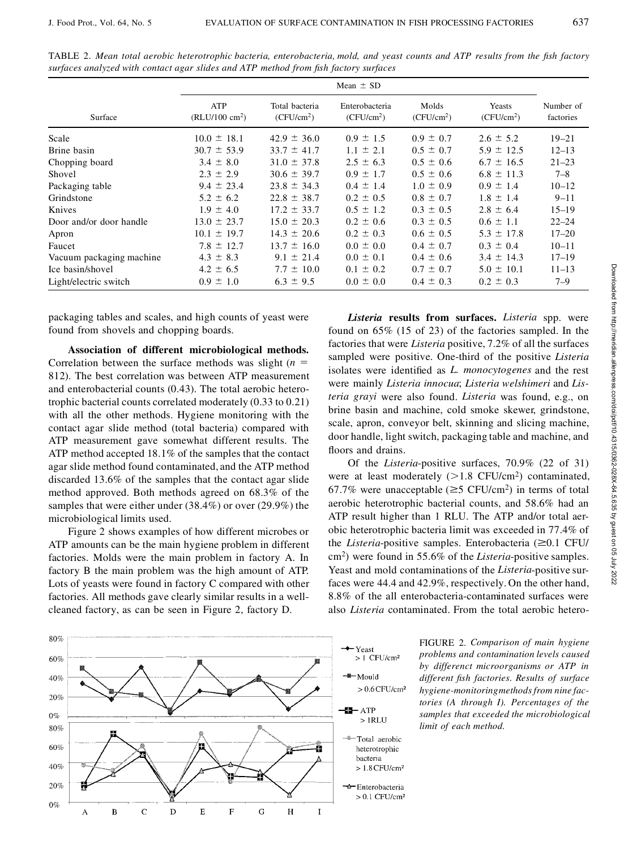|                          | Mean $\pm$ SD                   |                                |                                          |                                 |                                  |                        |
|--------------------------|---------------------------------|--------------------------------|------------------------------------------|---------------------------------|----------------------------------|------------------------|
| Surface                  | ATP<br>$(RLU/100 \text{ cm}^2)$ | Total bacteria<br>$(CFU/cm^2)$ | Enterobacteria<br>(CFU/cm <sup>2</sup> ) | Molds<br>(CFU/cm <sup>2</sup> ) | Yeasts<br>(CFU/cm <sup>2</sup> ) | Number of<br>factories |
| Scale                    | $10.0 \pm 18.1$                 | $42.9 \pm 36.0$                | $0.9 \pm 1.5$                            | $0.9 \pm 0.7$                   | $2.6 \pm 5.2$                    | $19 - 21$              |
| Brine basin              | $30.7 \pm 53.9$                 | $33.7 \pm 41.7$                | $1.1 \pm 2.1$                            | $0.5 \pm 0.7$                   | $5.9 \pm 12.5$                   | $12 - 13$              |
| Chopping board           | $3.4 \pm 8.0$                   | $31.0 \pm 37.8$                | $2.5 \pm 6.3$                            | $0.5 \pm 0.6$                   | $6.7 \pm 16.5$                   | $21 - 23$              |
| Shovel                   | $2.3 \pm 2.9$                   | $30.6 \pm 39.7$                | $0.9 \pm 1.7$                            | $0.5 \pm 0.6$                   | $6.8 \pm 11.3$                   | $7 - 8$                |
| Packaging table          | $9.4 \pm 23.4$                  | $23.8 \pm 34.3$                | $0.4 \pm 1.4$                            | $1.0 \pm 0.9$                   | $0.9 \pm 1.4$                    | $10 - 12$              |
| Grindstone               | $5.2 \pm 6.2$                   | $22.8 \pm 38.7$                | $0.2 \pm 0.5$                            | $0.8 \pm 0.7$                   | $1.8 \pm 1.4$                    | $9 - 11$               |
| Knives                   | $1.9 \pm 4.0$                   | $17.2 \pm 33.7$                | $0.5 \pm 1.2$                            | $0.3 \pm 0.5$                   | $2.8 \pm 6.4$                    | $15 - 19$              |
| Door and/or door handle  | $13.0 \pm 23.7$                 | $15.0 \pm 20.3$                | $0.2 \pm 0.6$                            | $0.3 \pm 0.5$                   | $0.6 \pm 1.1$                    | $22 - 24$              |
| Apron                    | $10.1 \pm 19.7$                 | $14.3 \pm 20.6$                | $0.2 \pm 0.3$                            | $0.6 \pm 0.5$                   | $5.3 \pm 17.8$                   | $17 - 20$              |
| Faucet                   | $7.8 \pm 12.7$                  | $13.7 \pm 16.0$                | $0.0 \pm 0.0$                            | $0.4 \pm 0.7$                   | $0.3 \pm 0.4$                    | $10 - 11$              |
| Vacuum packaging machine | $4.3 \pm 8.3$                   | $9.1 \pm 21.4$                 | $0.0 \pm 0.1$                            | $0.4 \pm 0.6$                   | $3.4 \pm 14.3$                   | $17 - 19$              |
| Ice basin/shovel         | $4.2 \pm 6.5$                   | $7.7 \pm 10.0$                 | $0.1 \pm 0.2$                            | $0.7 \pm 0.7$                   | $5.0 \pm 10.1$                   | $11 - 13$              |
| Light/electric switch    | $0.9 \pm 1.0$                   | $6.3 \pm 9.5$                  | $0.0 \pm 0.0$                            | $0.4 \pm 0.3$                   | $0.2 \pm 0.3$                    | $7 - 9$                |

TABLE 2. Mean total aerobic heterotrophic bacteria, enterobacteria, mold, and yeast counts and ATP results from the fish factory *surfaces analyzed with contact agar slides and ATP method from sh factory surfaces*

packaging tables and scales, and high counts of yeast were found from shovels and chopping boards.

**Association of different microbiological methods.** Correlation between the surface methods was slight  $(n = 1)$ 812). The best correlation was between ATP measurement and enterobacterial counts (0.43). The total aerobic heterotrophic bacterial counts correlated moderately (0.33 to 0.21) with all the other methods. Hygiene monitoring with the contact agar slide method (total bacteria) compared with ATP measurement gave somewhat different results. The ATP method accepted 18.1% of the samples that the contact agar slide method found contaminated, and the ATP method discarded 13.6% of the samples that the contact agar slide method approved. Both methods agreed on 68.3% of the samples that were either under (38.4%) or over (29.9%) the microbiological limits used.

Figure 2 shows examples of how different microbes or ATP amounts can be the main hygiene problem in different factories. Molds were the main problem in factory A. In factory B the main problem was the high amount of ATP. Lots of yeasts were found in factory C compared with other factories. All methods gave clearly similar results in a wellcleaned factory, as can be seen in Figure 2, factory D.

*Listeria* **results from surfaces.** *Listeria* spp. were found on 65% (15 of 23) of the factories sampled. In the factories that were *Listeria* positive, 7.2% of all the surfaces sampled were positive. One-third of the positive *Listeria* isolates were identified as *L. monocytogenes* and the rest were mainly *Listeria innocua*; *Listeria welshimeri* and *Listeria grayi* were also found. *Listeria* was found, e.g., on brine basin and machine, cold smoke skewer, grindstone, scale, apron, conveyor belt, skinning and slicing machine, door handle, light switch, packaging table and machine, and floors and drains.

Of the *Listeria*-positive surfaces, 70.9% (22 of 31) were at least moderately  $(>1.8$  CFU/cm<sup>2</sup>) contaminated, 67.7% were unacceptable ( $\geq$ 5 CFU/cm<sup>2</sup>) in terms of total aerobic heterotrophic bacterial counts, and 58.6% had an ATP result higher than 1 RLU. The ATP and/or total aerobic heterotrophic bacteria limit was exceeded in 77.4% of the *Listeria*-positive samples. Enterobacteria  $(\geq 0.1 \text{ CFU})$ cm<sup>2</sup> ) were found in 55.6% of the *Listeria*-positive samples. Yeast and mold contaminations of the *Listeria*-positive surfaces were 44.4 and 42.9%, respectively. On the other hand, 8.8% of the all enterobacteria-contaminated surfaces were also *Listeria* contaminated. From the total aerobic hetero-



FIGURE 2. *Comparison of main hygiene problems and contamination levels caused by differenct microorganisms or ATP in different sh factories. Results of surface hygiene-monitoringmethodsfrom nine factories (A through I). Percentages of the samples that exceeded the microbiological limit of each method.*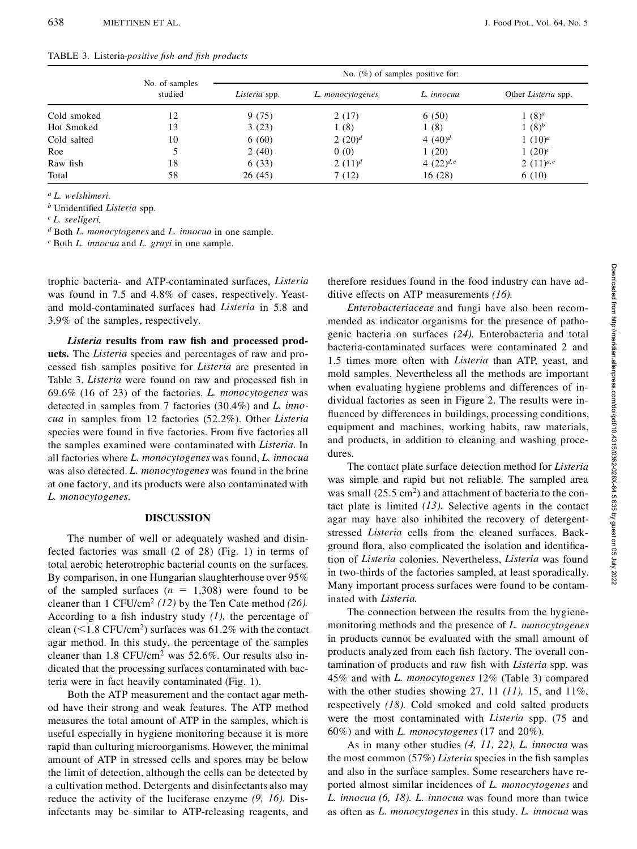|  | TABLE 3. Listeria-positive fish and fish products |  |  |
|--|---------------------------------------------------|--|--|
|--|---------------------------------------------------|--|--|

|             | No. of samples<br>studied | No. $(\%)$ of samples positive for: |                  |                |                     |
|-------------|---------------------------|-------------------------------------|------------------|----------------|---------------------|
|             |                           | Listeria spp.                       | L. monocytogenes | L. innocua     | Other Listeria spp. |
| Cold smoked | 12                        | 9(75)                               | 2(17)            | 6(50)          | $1(8)^a$            |
| Hot Smoked  | 13                        | 3(23)                               | 1(8)             | 1(8)           | 1 $(8)^b$           |
| Cold salted | 10                        | 6(60)                               | 2 $(20)^d$       | 4 $(40)^d$     | 1 $(10)^a$          |
| Roe         |                           | 2(40)                               | 0(0)             | 1(20)          | 1 $(20)^c$          |
| Raw fish    | 18                        | 6(33)                               | 2 $(11)^d$       | 4 $(22)^{d,e}$ | 2 $(11)^{a,e}$      |
| Total       | 58                        | 26(45)                              | 7 (12)           | 16(28)         | 6(10)               |

*<sup>a</sup> L. welshimeri*.

*b* Unidentified *Listeria* spp.

*<sup>c</sup> L. seeligeri*.

*<sup>d</sup>* Both *L. monocytogenes* and *L. innocua* in one sample.

*<sup>e</sup>* Both *L. innocua* and *L. grayi* in one sample.

trophic bacteria- and ATP-contaminated surfaces, *Listeria* was found in 7.5 and 4.8% of cases, respectively. Yeastand mold-contaminated surfaces had *Listeria* in 5.8 and 3.9% of the samples, respectively.

*Listeria* **results from raw sh and processed products.** The *Listeria* species and percentages of raw and processed fish samples positive for *Listeria* are presented in Table 3. *Listeria* were found on raw and processed fish in 69.6% (16 of 23) of the factories. *L. monocytogenes* was detected in samples from 7 factories (30.4%) and *L. inno cua* in samples from 12 factories (52.2%). Other *Listeria* species were found in five factories. From five factories all the samples examined were contaminated with *Listeria.* In all factories where *L. monocytogenes* was found, *L. innocua* was also detected. *L. monocytogenes* was found in the brine at one factory, and its products were also contaminated with *L. monocytogenes.*

## **DISCUSSION**

The number of well or adequately washed and disinfected factories was small (2 of 28) (Fig. 1) in terms of total aerobic heterotrophic bacterial counts on the surfaces. By comparison, in one Hungarian slaughterhouse over 95% of the sampled surfaces  $(n = 1,308)$  were found to be cleaner than 1 CFU/cm<sup>2</sup> *(12)* by the Ten Cate method *(26).* According to a fish industry study  $(1)$ , the percentage of clean  $(< 1.8$  CFU/cm<sup>2</sup>) surfaces was 61.2% with the contact agar method. In this study, the percentage of the samples cleaner than  $1.8$  CFU/cm<sup>2</sup> was  $52.6\%$ . Our results also indicated that the processing surfaces contaminated with bacteria were in fact heavily contaminated (Fig. 1).

Both the ATP measurement and the contact agar method have their strong and weak features. The ATP method measures the total amount of ATP in the samples, which is useful especially in hygiene monitoring because it is more rapid than culturing microorganisms. However, the minimal amount of ATP in stressed cells and spores may be below the limit of detection, although the cells can be detected by a cultivation method. Detergents and disinfectants also may reduce the activity of the luciferase enzyme *(9, 16).* Disinfectants may be similar to ATP-releasing reagents, and

therefore residues found in the food industry can have additive effects on ATP measurements *(16).*

*Enterobacteriaceae* and fungi have also been recommended as indicator organisms for the presence of pathogenic bacteria on surfaces *(24).* Enterobacteria and total bacteria-contaminated surfaces were contaminated 2 and 1.5 times more often with *Listeria* than ATP, yeast, and mold samples. Nevertheless all the methods are important when evaluating hygiene problems and differences of individual factories as seen in Figure 2. The results were in fluenced by differences in buildings, processing conditions, equipment and machines, working habits, raw materials, and products, in addition to cleaning and washing procedures.

The contact plate surface detection method for *Listeria* was simple and rapid but not reliable. The sampled area was small (25.5 cm<sup>2</sup>) and attachment of bacteria to the contact plate is limited *(13).* Selective agents in the contact agar may have also inhibited the recovery of detergentstressed *Listeria* cells from the cleaned surfaces. Background flora, also complicated the isolation and identification of *Listeria* colonies. Nevertheless, *Listeria* was found in two-thirds of the factories sampled, at least sporadically. Many important process surfaces were found to be contaminated with *Listeria.*

The connection between the results from the hygienemonitoring methods and the presence of *L. monocytogenes* in products cannot be evaluated with the small amount of products analyzed from each fish factory. The overall contamination of products and raw fish with *Listeria* spp. was 45% and with *L. monocytogenes* 12% (Table 3) compared with the other studies showing 27, 11 *(11),* 15, and 11%, respectively *(18).* Cold smoked and cold salted products were the most contaminated with *Listeria* spp. (75 and 60%) and with *L. monocytogenes* (17 and 20%).

As in many other studies *(4, 11, 22), L. innocua* was the most common (57%) *Listeria* species in the fish samples and also in the surface samples. Some researchers have reported almost similar incidences of *L. monocytogenes* and *L. innocua (6, 18). L. innocua* was found more than twice as often as *L. monocytogenes* in this study. *L. innocua* was